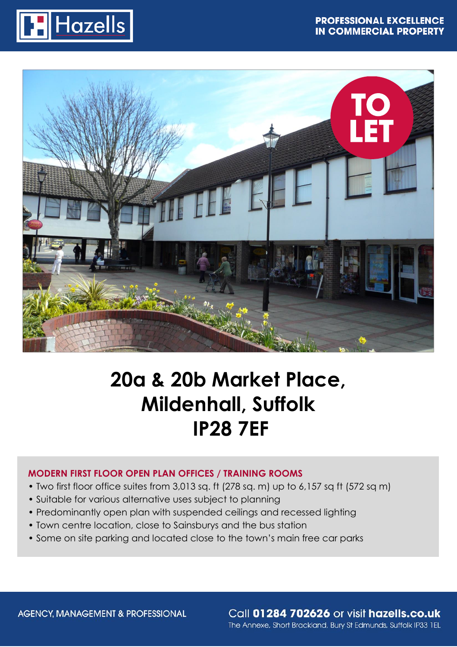



# **20a & 20b Market Place, Mildenhall, Suffolk IP28 7EF**

## **MODERN FIRST FLOOR OPEN PLAN OFFICES / TRAINING ROOMS**

- Two first floor office suites from 3,013 sq. ft (278 sq. m) up to 6,157 sq ft (572 sq m)
- Suitable for various alternative uses subject to planning
- Predominantly open plan with suspended ceilings and recessed lighting
- Town centre location, close to Sainsburys and the bus station
- Some on site parking and located close to the town's main free car parks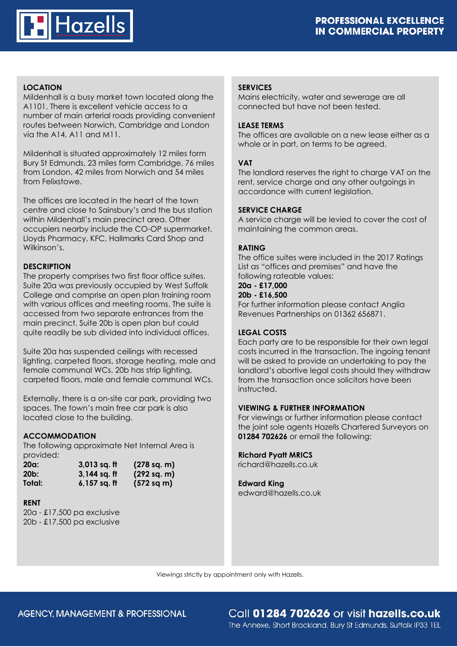

## **LOCATION**

Mildenhall is a busy market town located along the A1101. There is excellent vehicle access to a number of main arterial roads providing convenient routes between Norwich, Cambridge and London via the A14, A11 and M11.

Mildenhall is situated approximately 12 miles form Bury St Edmunds, 23 miles form Cambridge, 76 miles from London, 42 miles from Norwich and 54 miles from Felixstowe.

The offices are located in the heart of the town centre and close to Sainsbury's and the bus station within Mildenhall's main precinct area. Other occupiers nearby include the CO-OP supermarket, Lloyds Pharmacy, KFC, Hallmarks Card Shop and Wilkinson's.

### **DESCRIPTION**

The property comprises two first floor office suites. Suite 20a was previously occupied by West Suffolk College and comprise an open plan training room with various offices and meeting rooms. The suite is accessed from two separate entrances from the main precinct. Suite 20b is open plan but could quite readily be sub divided into individual offices.

Suite 20a has suspended ceilings with recessed lighting, carpeted floors, storage heating, male and female communal WCs. 20b has strip lighting, carpeted floors, male and female communal WCs.

Externally, there is a on-site car park, providing two spaces. The town's main free car park is also located close to the building.

#### **ACCOMMODATION**

The following approximate Net Internal Area is provided:

| piuviuu.        |                |             |
|-----------------|----------------|-------------|
| 20a:            | $3,013$ sq. ft | (278 sq. m) |
| 20 <sub>b</sub> | $3,144$ sq. ft | (292 sq. m) |
| Total:          | $6,157$ sq. ft | (572 sq m)  |

#### **RENT**

20a - £17,500 pa exclusive 20b - £17,500 pa exclusive

### **SERVICES**

Mains electricity, water and sewerage are all connected but have not been tested.

### **LEASE TERMS**

The offices are available on a new lease either as a whole or in part, on terms to be agreed.

### **VAT**

The landlord reserves the right to charge VAT on the rent, service charge and any other outgoings in accordance with current legislation.

#### **SERVICE CHARGE**

A service charge will be levied to cover the cost of maintaining the common areas.

### **RATING**

The office suites were included in the 2017 Ratings List as "offices and premises" and have the following rateable values:

## **20a - £17,000**

### **20b - £16,500**

For further information please contact Anglia Revenues Partnerships on 01362 656871.

## **LEGAL COSTS**

Each party are to be responsible for their own legal costs incurred in the transaction. The ingoing tenant will be asked to provide an undertaking to pay the landlord's abortive legal costs should they withdraw from the transaction once solicitors have been instructed.

#### **VIEWING & FURTHER INFORMATION**

For viewings or further information please contact the joint sole agents Hazells Chartered Surveyors on **01284 702626** or email the following:

#### **Richard Pyatt MRICS**

richard@hazells.co.uk

**Edward King** edward@hazells.co.uk

Viewings strictly by appointment only with Hazells.

Call 01284 702626 or visit hazells.co.uk The Annexe, Short Brackland, Bury St Edmunds, Suffolk IP33 1EL